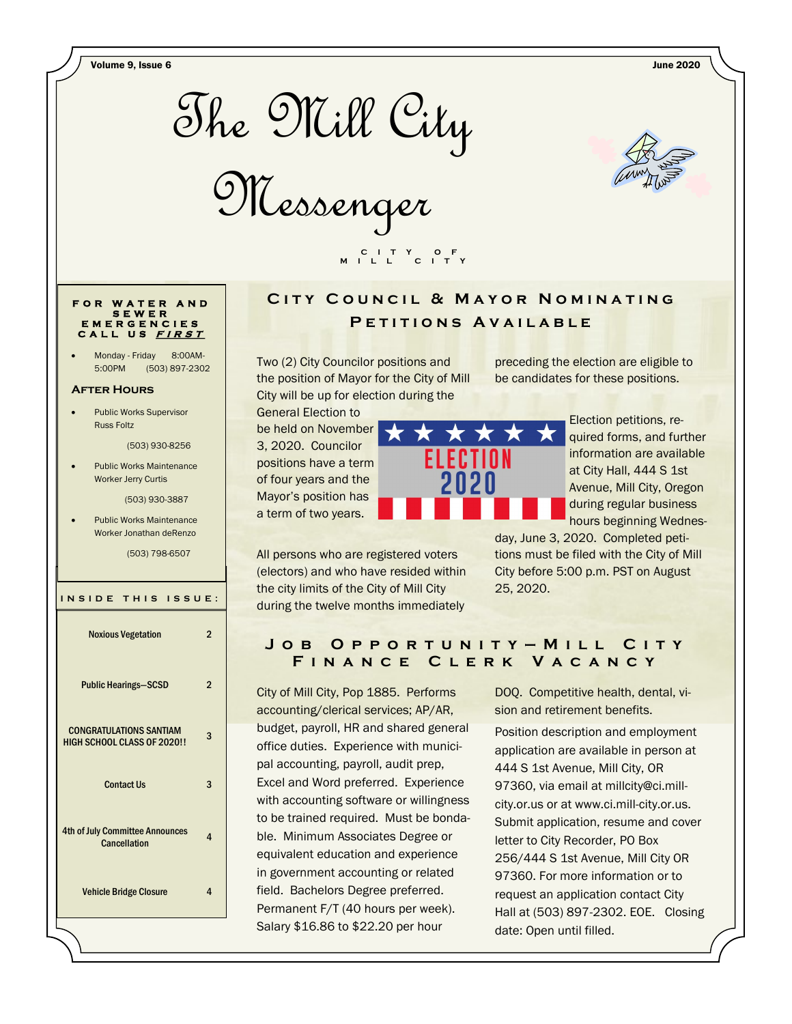Volume 9, Issue 6 June 2020



Messenger



#### **F O R W A T E R A N D S E W E R E M E R G E N C I E S C A L L U S <sup>F</sup> <sup>I</sup> <sup>R</sup> <sup>S</sup> <sup>T</sup>**

Monday - Friday 8:00AM-5:00PM (503) 897-2302

#### **After Hours**

 Public Works Supervisor Russ Foltz

(503) 930-8256

 Public Works Maintenance Worker Jerry Curtis

(503) 930-3887

 Public Works Maintenance Worker Jonathan deRenzo

(503) 798-6507

| INSIDE THIS ISSUE:                                                   |   |
|----------------------------------------------------------------------|---|
| <b>Noxious Vegetation</b>                                            | 2 |
| <b>Public Hearings-SCSD</b>                                          | 2 |
| <b>CONGRATULATIONS SANTIAM</b><br><b>HIGH SCHOOL CLASS OF 2020!!</b> | 3 |
| <b>Contact Us</b>                                                    | 3 |
| <b>4th of July Committee Announces</b><br>Cancellation               | 4 |
| <b>Vehicle Bridge Closure</b>                                        | 4 |

### **CITY COUNCIL & MAYOR NOMINATING** P E T I T I O N S A V A I L A B L E

Two (2) City Councilor positions and the position of Mayor for the City of Mill City will be up for election during the

 **C I T Y O F M I L L C I T Y**

General Election to be held on November 3, 2020. Councilor positions have a term of four years and the Mayor's position has a term of two years.



All persons who are registered voters (electors) and who have resided within the city limits of the City of Mill City during the twelve months immediately

preceding the election are eligible to be candidates for these positions.

> Election petitions, required forms, and further information are available at City Hall, 444 S 1st Avenue, Mill City, Oregon during regular business hours beginning Wednes-

day, June 3, 2020. Completed petitions must be filed with the City of Mill City before 5:00 p.m. PST on August 25, 2020.

#### **J o b O p p o r t u n i t y — M i l l C i t y F i n a n c e C l e r k V a c a n c y**

City of Mill City, Pop 1885. Performs accounting/clerical services; AP/AR, budget, payroll, HR and shared general office duties. Experience with municipal accounting, payroll, audit prep, Excel and Word preferred. Experience with accounting software or willingness to be trained required. Must be bondable. Minimum Associates Degree or equivalent education and experience in government accounting or related field. Bachelors Degree preferred. Permanent F/T (40 hours per week). Salary \$16.86 to \$22.20 per hour

DOQ. Competitive health, dental, vision and retirement benefits.

Position description and employment application are available in person at 444 S 1st Avenue, Mill City, OR 97360, via email at millcity@ci.millcity.or.us or at www.ci.mill-city.or.us. Submit application, resume and cover letter to City Recorder, PO Box 256/444 S 1st Avenue, Mill City OR 97360. For more information or to request an application contact City Hall at (503) 897-2302. EOE. Closing date: Open until filled.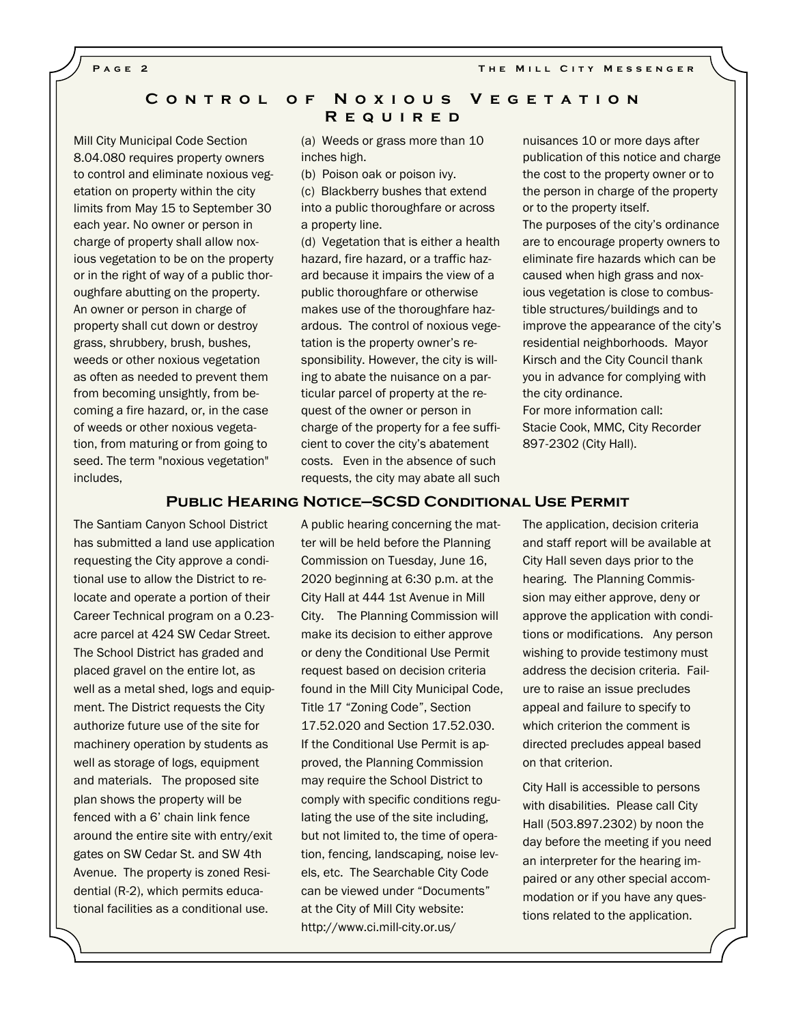**PAGE 2 THE MILL CITY MESSENGER** 

#### **C o n t r o l o f N o x i o u s V e g e t a t i o n R e q u i r e d**

Mill City Municipal Code Section 8.04.080 requires property owners to control and eliminate noxious vegetation on property within the city limits from May 15 to September 30 each year. No owner or person in charge of property shall allow noxious vegetation to be on the property or in the right of way of a public thoroughfare abutting on the property. An owner or person in charge of property shall cut down or destroy grass, shrubbery, brush, bushes, weeds or other noxious vegetation as often as needed to prevent them from becoming unsightly, from becoming a fire hazard, or, in the case of weeds or other noxious vegetation, from maturing or from going to seed. The term "noxious vegetation" includes,

(a) Weeds or grass more than 10 inches high.

(b) Poison oak or poison ivy.

(c) Blackberry bushes that extend into a public thoroughfare or across a property line.

(d) Vegetation that is either a health hazard, fire hazard, or a traffic hazard because it impairs the view of a public thoroughfare or otherwise makes use of the thoroughfare hazardous. The control of noxious vegetation is the property owner's responsibility. However, the city is willing to abate the nuisance on a particular parcel of property at the request of the owner or person in charge of the property for a fee sufficient to cover the city's abatement costs. Even in the absence of such requests, the city may abate all such nuisances 10 or more days after publication of this notice and charge the cost to the property owner or to the person in charge of the property or to the property itself.

The purposes of the city's ordinance are to encourage property owners to eliminate fire hazards which can be caused when high grass and noxious vegetation is close to combustible structures/buildings and to improve the appearance of the city's residential neighborhoods. Mayor Kirsch and the City Council thank you in advance for complying with the city ordinance.

For more information call: Stacie Cook, MMC, City Recorder 897-2302 (City Hall).

#### **Public Hearing Notice—SCSD Conditional Use Permit**

The Santiam Canyon School District has submitted a land use application requesting the City approve a conditional use to allow the District to relocate and operate a portion of their Career Technical program on a 0.23 acre parcel at 424 SW Cedar Street. The School District has graded and placed gravel on the entire lot, as well as a metal shed, logs and equipment. The District requests the City authorize future use of the site for machinery operation by students as well as storage of logs, equipment and materials. The proposed site plan shows the property will be fenced with a 6' chain link fence around the entire site with entry/exit gates on SW Cedar St. and SW 4th Avenue. The property is zoned Residential (R-2), which permits educational facilities as a conditional use.

A public hearing concerning the matter will be held before the Planning Commission on Tuesday, June 16, 2020 beginning at 6:30 p.m. at the City Hall at 444 1st Avenue in Mill City. The Planning Commission will make its decision to either approve or deny the Conditional Use Permit request based on decision criteria found in the Mill City Municipal Code, Title 17 "Zoning Code", Section 17.52.020 and Section 17.52.030. If the Conditional Use Permit is approved, the Planning Commission may require the School District to comply with specific conditions regulating the use of the site including, but not limited to, the time of operation, fencing, landscaping, noise levels, etc. The Searchable City Code can be viewed under "Documents" at the City of Mill City website: http://www.ci.mill-city.or.us/

The application, decision criteria and staff report will be available at City Hall seven days prior to the hearing. The Planning Commission may either approve, deny or approve the application with conditions or modifications. Any person wishing to provide testimony must address the decision criteria. Failure to raise an issue precludes appeal and failure to specify to which criterion the comment is directed precludes appeal based on that criterion.

City Hall is accessible to persons with disabilities. Please call City Hall (503.897.2302) by noon the day before the meeting if you need an interpreter for the hearing impaired or any other special accommodation or if you have any questions related to the application.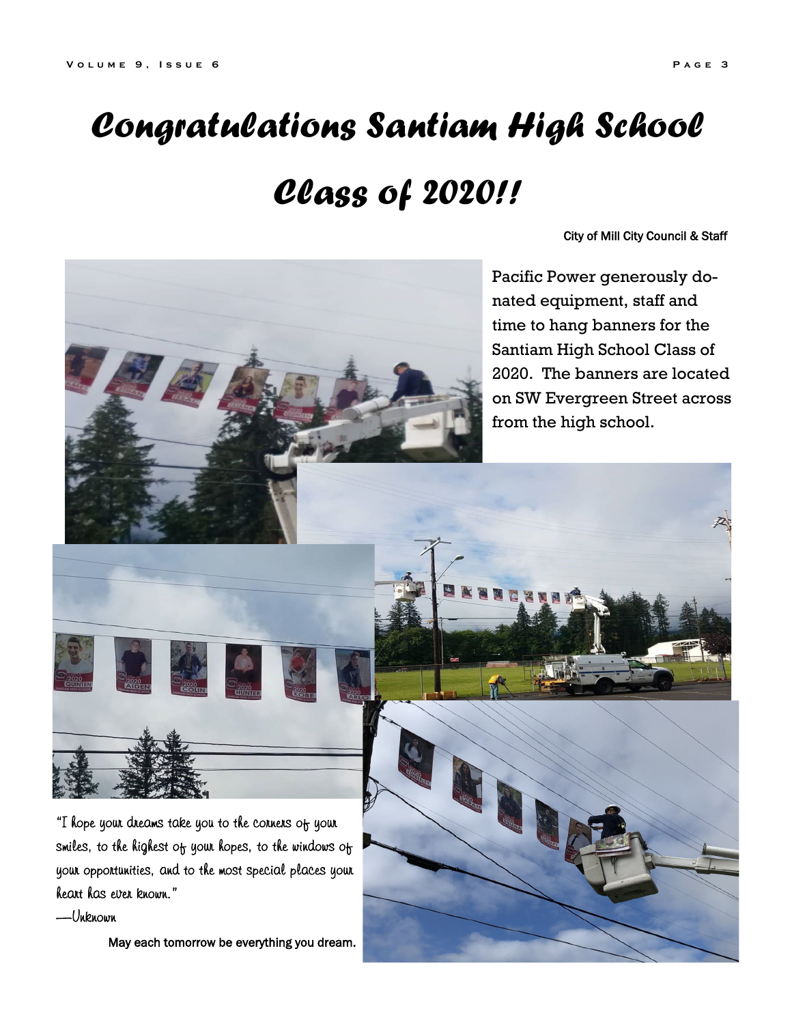# *Congratulations Santiam High School*

## *Class of 2020!!*

City of Mill City Council & Staff

Pacific Power generously donated equipment, staff and time to hang banners for the Santiam High School Class of 2020. The banners are located on SW Evergreen Street across from the high school.

"I hope your dreams take you to the corners of your smiles, to the highest of your hopes, to the windows of your opportunities, and to the most special places your heart has ever known."

—Unknown

May each tomorrow be everything you dream.